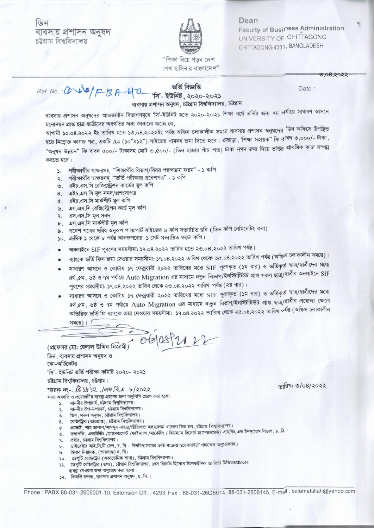७िन ব্যবসায় প্ৰশাসন অনম্বদ চট্টগ্ৰাম বিশ্ববিদ্যালয়



Dean Faculty of Business Administration UNIVERSITY OF CHITTAGONG CHITTAGONG-4331, BANGLADESH

"শিক্ষা নিয়ে গডব দেশ শেখ হাসিনার বাংলাদেশ"

## Date:

 $9.08.3022$ 

ব্যবসায় প্রশাসন অনুষদের আওতাধীন বিভাগসমূহে 'সি'-ইউনিট হতে ২০২০-২০২১ শিক্ষা বর্ষে ভর্তির জন্য ৭ম পর্যায়ে সাধারণ আসনে মনোনয়ন প্রাপ্ত ছাত্র-ছাত্রীদের অবগতির জন্য জানানো যাচ্ছে যে.

ব্যবসায় প্রশাসন অনুষদ, চট্টগ্রাম বিশ্ববিদ্যালয়, চট্টগ্রাম

ভৰ্তি বিজ্ঞপ্তি

আগামী ১০.০৪.২০২২ ইং তারিখ হতে ১৩.০৪.২০২২ইং পর্যন্ত অফিস চলাকালীন সময়ে ব্যবসায় প্রশাসন অনুষদের ডিন অফিসে উপন্থিত হয়ে নিম্নোক্ত কাগজ পত্র, একটি A4 (১০"×১২") সাইজের খামসহ জমা দিতে হবে। তাছাড়া, 'শিক্ষা সহায়ক" ফি বা<sup>বদ</sup> ৩,০০০/- টাকা, "অনুষদ উন্নয়ন" ফি বাবদ ৫০০/- টাকাসহ মোট ৩,৫০০/- (তিন হাজার পাঁচ শত) টাকা নগদ জমা দিয়ে ভর্তির প্রাথমিক কাজ সম্পন্ন করতে হবে।

- ১. পরীক্ষার্থীর শ্বাক্ষরসহ "শিক্ষার্থীর বিভাগ/বিষয় পছন্দক্রম ফরম" ১ কপি
- ২. পরীক্ষার্থীর শ্বাক্ষরসহ "ভর্তি পরীক্ষার প্রবেশপত্র" ১ কপি
- ৩. এইচ.এস.সি রেজিস্ট্রেশন কার্ডের মুল কপি
- 8. এইচ.এস.সি মূল সনদ/প্ৰশংসাপত্ৰ
- ৫. এইচ.এস.সি মার্কশীট মল কপি
- ৬. এস.এস.সি রেজিস্ট্রেশন কার্ড মূল কপি
- ৭. এস.এস.সি মূল সনদ
- ৮. এস.এস.সি মার্কশীট মল কপি
- ৯. প্রবেশ পত্রের ছবির অনুরূপ পাসপোর্ট সাইজের ৬ কপি সত্যায়িত ছবি (তিন কপি লেমিনেটিং করা)
- ১০. ক্ৰমিক ১ থেকে ৮ পৰ্যন্ত কাগজপত্ৰের ১ সেট সত্যায়িত ফটো কপি।
- অনলাইনে SIF পূরণের সময়সীমা: ১৭.০৪.২০২২ তারিখ হতে ২৩.০৪.২০২২ তারিখ পর্যন্ত।
- ব্যাংকে ভর্তি ফিস জমা দেওয়ার সময়সীমা: ১৭.০৪.২০২২ তারিখ থেকে ২৫.০৪.২০২২ তারিখ পর্যন্ত (অফিস চলাকালীন সময়ে)।
- সাধারণ আসনে ও কোটায় ১৭ ফেক্সয়ারী ২০২২ তারিখের মধ্যে SIF পূরণকৃত (১ম বার) ও ভর্তিকৃর্ত ছাত্র/ছাত্রীদের মধ্যে ৪র্থ,৫ম, ৬ষ্ঠ ও ৭ম পর্যায়ে Auto Migration এর মাধ্যমে নতুন বিভাগ/ইনস্টিটিউট প্রাপ্ত সকল ছাত্র/ছাত্রীর অনলাইনে SIF পূরণের সময়সীমা: ১৭.০৪.২০২২ তারিখ থেকে ২৩.০৪.২০২২ তারিখ পর্যন্ত (২য় বার)।
- সাধারণ আসনে ও কোটায় ১৭ ফেক্সয়ারী ২০২২ তারিখের মধ্যে SIF পূরণকৃত (১ম বার) ও ভর্তিকৃর্ত ছাত্র/ছাত্রীদের মধ্যে ৪র্থ, ৫ম, ৬ষ্ঠ ও ৭ম পর্যায়ে Auto Migration এর মাধ্যমে নতুন বিভাগ/ইনস্টিটিউট প্রাপ্ত ছাত্র/ছাত্রীর প্রযোজ্য ক্ষেত্রে অতিরিক্ত ভর্তি ফি ব্যাংকে জমা দেওয়ার সময়সীমা: ১৭.০৪.২০২২ তারিখ থেকে ২৫.০৪.২০২২ তারিখ পর্যন্ত (অফিস চলাকালীন

সময়ে)।  $\sqrt{ }$ 

 $($  প্রফেসর মো: হেলাল উদ্দিন নিজামী $\int$   $\Theta$   $\Theta$   $(0.8)$   $\sim$   $1$ 

ডিন, ব্যবসায় প্রশাসন অনুষদ ও কো-অর্ডিনেটর 'সি'- ইউনিট ভৰ্তি পরীক্ষা কমিটি ২০২০- ২০২১ চউগ্রাম বিশ্ববিদ্যালয়, চউগ্রাম। ম্মারক নং- (C) 4 9 / এফ.বি.এ -৮/২০২২ সদয় অবগতি ও প্রয়োজনীয় ব্যবস্থা গ্রহণের জন্য অনুলিপি প্রেরণ করা হলো: ১. মাননীয় উপাচার্য, চউগ্রাম বিশ্ববিদ্যালয়। মাননীয় উপ-উপাচার্য, চট্টগ্রাম বিশ্ববিদ্যালয়।  $\lambda$ . ডিন, সকল অনুষদ, চট্টগ্রাম বিশ্ববিদ্যালয়।  $\circ$ .

- রেজিস্ট্রার (ভারপ্রাপ্ত), চট্টগ্রাম বিশ্ববিদ্যালয়। 8.
- ৫. প্রভোষ্ট, শাহ জালাল/শামসুন নাহার/প্রীতিলতা হল/বেগম খালেদা জিয় হল, চট্টগ্রাম বিশ্ববিদ্যালয়।
- ৬. সভাপতি, একাউন্টিং /ম্যানেজমেন্ট /ফাইন্যান্স /মার্কেটিং / হিউম্যান রিসোর্চ ম্যানেজমেন্ট/ ব্যাংকিং এন্ড ইনস্যুরেন্স বিভাগ, চ. বি. ا
- প্রক্টর, চউগ্রাম বিশ্ববিদ্যালয়।  $9.$
- ডাইরেক্টর আই.সি.টি সেল, চ. বি। বিশ্ববিদ্যালয়ের ভর্তি সংক্রান্ত ওয়েবসাইটে প্রচারের অনুরোধসহ।  $\mathbf{b}$ .
- ৯. হিসাব নিয়ামক, (ভারপ্রাপ্ত) চ. বি।
- ১০. ডেপুটি রেজিস্ট্রার (একাডেমিক শাখা), চট্টগ্রাম বিশ্ববিদ্যালয়।
- ১১. ডেপুটি রেজিস্ট্রার (তথ্য), চট্টগ্রাম বিশ্ববিদ্যালয়, প্রেস বিজ্ঞপ্তি হিসেবে ইলেকট্রনিক ও প্রিন্ট মিডিয়ায়প্রচারের ব্যবস্থা নেওয়ার জন্য অনুরোধ করা হলো।
- ১২. বিজ্ঞপ্তি ফলক, ব্যবসায় প্রশাসন অনুষদ, চ. বি.।

Phone: PABX 88-031-2606001-10, Extension Off.: 4293, Fax: 88-031-2606014, 88-031-2606145, E-mail: salamatullah@yahoo.com

 $\sqrt{q}$ রিখ: ৩/০৪/২০২২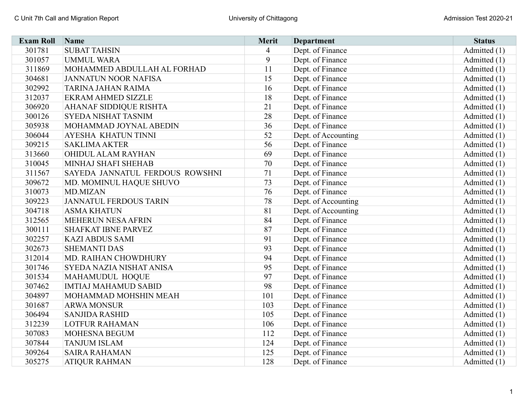| <b>Exam Roll</b> | Name                            | <b>Merit</b> | <b>Department</b>   | <b>Status</b> |
|------------------|---------------------------------|--------------|---------------------|---------------|
| 301781           | <b>SUBAT TAHSIN</b>             | 4            | Dept. of Finance    | Admitted (1)  |
| 301057           | <b>UMMUL WARA</b>               | 9            | Dept. of Finance    | Admitted (1)  |
| 311869           | MOHAMMED ABDULLAH AL FORHAD     | 11           | Dept. of Finance    | Admitted (1)  |
| 304681           | <b>JANNATUN NOOR NAFISA</b>     | 15           | Dept. of Finance    | Admitted (1)  |
| 302992           | TARINA JAHAN RAIMA              | 16           | Dept. of Finance    | Admitted (1)  |
| 312037           | <b>EKRAM AHMED SIZZLE</b>       | 18           | Dept. of Finance    | Admitted (1)  |
| 306920           | AHANAF SIDDIQUE RISHTA          | 21           | Dept. of Finance    | Admitted (1)  |
| 300126           | <b>SYEDA NISHAT TASNIM</b>      | 28           | Dept. of Finance    | Admitted (1)  |
| 305938           | MOHAMMAD JOYNAL ABEDIN          | 36           | Dept. of Finance    | Admitted (1)  |
| 306044           | AYESHA KHATUN TINNI             | 52           | Dept. of Accounting | Admitted (1)  |
| 309215           | <b>SAKLIMA AKTER</b>            | 56           | Dept. of Finance    | Admitted (1)  |
| 313660           | OHIDUL ALAM RAYHAN              | 69           | Dept. of Finance    | Admitted (1)  |
| 310045           | MINHAJ SHAFI SHEHAB             | 70           | Dept. of Finance    | Admitted (1)  |
| 311567           | SAYEDA JANNATUL FERDOUS ROWSHNI | 71           | Dept. of Finance    | Admitted (1)  |
| 309672           | MD. MOMINUL HAQUE SHUVO         | 73           | Dept. of Finance    | Admitted (1)  |
| 310073           | <b>MD.MIZAN</b>                 | 76           | Dept. of Finance    | Admitted (1)  |
| 309223           | <b>JANNATUL FERDOUS TARIN</b>   | 78           | Dept. of Accounting | Admitted (1)  |
| 304718           | <b>ASMA KHATUN</b>              | 81           | Dept. of Accounting | Admitted (1)  |
| 312565           | MEHERUN NESA AFRIN              | 84           | Dept. of Finance    | Admitted (1)  |
| 300111           | SHAFKAT IBNE PARVEZ             | 87           | Dept. of Finance    | Admitted (1)  |
| 302257           | <b>KAZI ABDUS SAMI</b>          | 91           | Dept. of Finance    | Admitted (1)  |
| 302673           | <b>SHEMANTI DAS</b>             | 93           | Dept. of Finance    | Admitted (1)  |
| 312014           | MD. RAIHAN CHOWDHURY            | 94           | Dept. of Finance    | Admitted (1)  |
| 301746           | SYEDA NAZIA NISHAT ANISA        | 95           | Dept. of Finance    | Admitted (1)  |
| 301534           | MAHAMUDUL HOQUE                 | 97           | Dept. of Finance    | Admitted (1)  |
| 307462           | <b>IMTIAJ MAHAMUD SABID</b>     | 98           | Dept. of Finance    | Admitted (1)  |
| 304897           | MOHAMMAD MOHSHIN MEAH           | 101          | Dept. of Finance    | Admitted (1)  |
| 301687           | <b>ARWA MONSUR</b>              | 103          | Dept. of Finance    | Admitted (1)  |
| 306494           | <b>SANJIDA RASHID</b>           | 105          | Dept. of Finance    | Admitted (1)  |
| 312239           | <b>LOTFUR RAHAMAN</b>           | 106          | Dept. of Finance    | Admitted (1)  |
| 307083           | MOHESNA BEGUM                   | 112          | Dept. of Finance    | Admitted (1)  |
| 307844           | <b>TANJUM ISLAM</b>             | 124          | Dept. of Finance    | Admitted (1)  |
| 309264           | <b>SAIRA RAHAMAN</b>            | 125          | Dept. of Finance    | Admitted (1)  |
| 305275           | <b>ATIQUR RAHMAN</b>            | 128          | Dept. of Finance    | Admitted (1)  |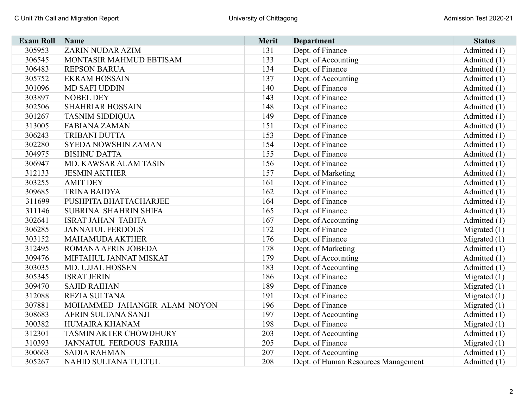| <b>Exam Roll</b> | <b>Name</b>                   | <b>Merit</b> | <b>Department</b>                   | <b>Status</b>  |
|------------------|-------------------------------|--------------|-------------------------------------|----------------|
| 305953           | <b>ZARIN NUDAR AZIM</b>       | 131          | Dept. of Finance                    | Admitted (1)   |
| 306545           | MONTASIR MAHMUD EBTISAM       | 133          | Dept. of Accounting                 | Admitted (1)   |
| 306483           | <b>REPSON BARUA</b>           | 134          | Dept. of Finance                    | Admitted (1)   |
| 305752           | <b>EKRAM HOSSAIN</b>          | 137          | Dept. of Accounting                 | Admitted (1)   |
| 301096           | <b>MD SAFI UDDIN</b>          | 140          | Dept. of Finance                    | Admitted (1)   |
| 303897           | <b>NOBEL DEY</b>              | 143          | Dept. of Finance                    | Admitted (1)   |
| 302506           | <b>SHAHRIAR HOSSAIN</b>       | 148          | Dept. of Finance                    | Admitted (1)   |
| 301267           | <b>TASNIM SIDDIQUA</b>        | 149          | Dept. of Finance                    | Admitted (1)   |
| 313005           | <b>FABIANA ZAMAN</b>          | 151          | Dept. of Finance                    | Admitted (1)   |
| 306243           | <b>TRIBANI DUTTA</b>          | 153          | Dept. of Finance                    | Admitted (1)   |
| 302280           | SYEDA NOWSHIN ZAMAN           | 154          | Dept. of Finance                    | Admitted (1)   |
| 304975           | <b>BISHNU DATTA</b>           | 155          | Dept. of Finance                    | Admitted $(1)$ |
| 306947           | MD. KAWSAR ALAM TASIN         | 156          | Dept. of Finance                    | Admitted (1)   |
| 312133           | <b>JESMIN AKTHER</b>          | 157          | Dept. of Marketing                  | Admitted (1)   |
| 303255           | <b>AMIT DEY</b>               | 161          | Dept. of Finance                    | Admitted (1)   |
| 309685           | <b>TRINA BAIDYA</b>           | 162          | Dept. of Finance                    | Admitted (1)   |
| 311699           | PUSHPITA BHATTACHARJEE        | 164          | Dept. of Finance                    | Admitted (1)   |
| 311146           | SUBRINA SHAHRIN SHIFA         | 165          | Dept. of Finance                    | Admitted (1)   |
| 302641           | <b>ISRAT JAHAN TABITA</b>     | 167          | Dept. of Accounting                 | Admitted (1)   |
| 306285           | <b>JANNATUL FERDOUS</b>       | 172          | Dept. of Finance                    | Migrated $(1)$ |
| 303152           | <b>MAHAMUDA AKTHER</b>        | 176          | Dept. of Finance                    | Migrated $(1)$ |
| 312495           | ROMANA AFRIN JOBEDA           | 178          | Dept. of Marketing                  | Admitted (1)   |
| 309476           | MIFTAHUL JANNAT MISKAT        | 179          | Dept. of Accounting                 | Admitted (1)   |
| 303035           | MD. UJJAL HOSSEN              | 183          | Dept. of Accounting                 | Admitted (1)   |
| 305345           | <b>ISRAT JERIN</b>            | 186          | Dept. of Finance                    | Migrated $(1)$ |
| 309470           | <b>SAJID RAIHAN</b>           | 189          | Dept. of Finance                    | Migrated $(1)$ |
| 312088           | <b>REZIA SULTANA</b>          | 191          | Dept. of Finance                    | Migrated $(1)$ |
| 307881           | MOHAMMED JAHANGIR ALAM NOYON  | 196          | Dept. of Finance                    | Migrated $(1)$ |
| 308683           | AFRIN SULTANA SANJI           | 197          | Dept. of Accounting                 | Admitted (1)   |
| 300382           | HUMAIRA KHANAM                | 198          | Dept. of Finance                    | Migrated $(1)$ |
| 312301           | <b>TASMIN AKTER CHOWDHURY</b> | 203          | Dept. of Accounting                 | Admitted (1)   |
| 310393           | JANNATUL FERDOUS FARIHA       | 205          | Dept. of Finance                    | Migrated $(1)$ |
| 300663           | <b>SADIA RAHMAN</b>           | 207          | Dept. of Accounting                 | Admitted (1)   |
| 305267           | NAHID SULTANA TULTUL          | 208          | Dept. of Human Resources Management | Admitted (1)   |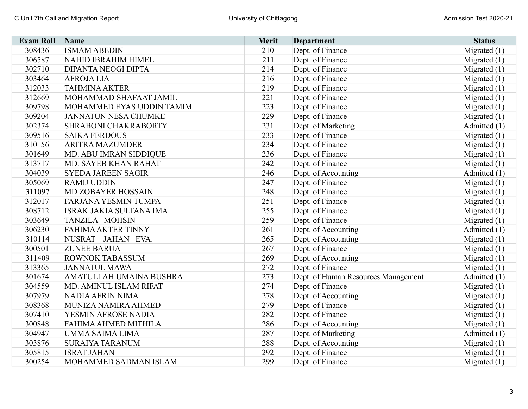| <b>Exam Roll</b> | Name                        | <b>Merit</b> | <b>Department</b>                   | <b>Status</b>  |
|------------------|-----------------------------|--------------|-------------------------------------|----------------|
| 308436           | <b>ISMAM ABEDIN</b>         | 210          | Dept. of Finance                    | Migrated $(1)$ |
| 306587           | <b>NAHID IBRAHIM HIMEL</b>  | 211          | Dept. of Finance                    | Migrated $(1)$ |
| 302710           | <b>DIPANTA NEOGI DIPTA</b>  | 214          | Dept. of Finance                    | Migrated $(1)$ |
| 303464           | <b>AFROJALIA</b>            | 216          | Dept. of Finance                    | Migrated $(1)$ |
| 312033           | <b>TAHMINA AKTER</b>        | 219          | Dept. of Finance                    | Migrated $(1)$ |
| 312669           | MOHAMMAD SHAFAAT JAMIL      | 221          | Dept. of Finance                    | Migrated (1)   |
| 309798           | MOHAMMED EYAS UDDIN TAMIM   | 223          | Dept. of Finance                    | Migrated $(1)$ |
| 309204           | <b>JANNATUN NESA CHUMKE</b> | 229          | Dept. of Finance                    | Migrated $(1)$ |
| 302374           | SHRABONI CHAKRABORTY        | 231          | Dept. of Marketing                  | Admitted (1)   |
| 309516           | <b>SAIKA FERDOUS</b>        | 233          | Dept. of Finance                    | Migrated $(1)$ |
| 310156           | <b>ARITRA MAZUMDER</b>      | 234          | Dept. of Finance                    | Migrated $(1)$ |
| 301649           | MD. ABU IMRAN SIDDIQUE      | 236          | Dept. of Finance                    | Migrated $(1)$ |
| 313717           | MD. SAYEB KHAN RAHAT        | 242          | Dept. of Finance                    | Migrated $(1)$ |
| 304039           | <b>SYEDA JAREEN SAGIR</b>   | 246          | Dept. of Accounting                 | Admitted (1)   |
| 305069           | <b>RAMIJ UDDIN</b>          | 247          | Dept. of Finance                    | Migrated (1)   |
| 311097           | <b>MD ZOBAYER HOSSAIN</b>   | 248          | Dept. of Finance                    | Migrated (1)   |
| 312017           | FARJANA YESMIN TUMPA        | 251          | Dept. of Finance                    | Migrated $(1)$ |
| 308712           | ISRAK JAKIA SULTANA IMA     | 255          | Dept. of Finance                    | Migrated $(1)$ |
| 303649           | TANZILA MOHSIN              | 259          | Dept. of Finance                    | Migrated $(1)$ |
| 306230           | <b>FAHIMA AKTER TINNY</b>   | 261          | Dept. of Accounting                 | Admitted (1)   |
| 310114           | NUSRAT JAHAN EVA.           | 265          | Dept. of Accounting                 | Migrated $(1)$ |
| 300501           | <b>ZUNEE BARUA</b>          | 267          | Dept. of Finance                    | Migrated $(1)$ |
| 311409           | <b>ROWNOK TABASSUM</b>      | 269          | Dept. of Accounting                 | Migrated (1)   |
| 313365           | <b>JANNATUL MAWA</b>        | 272          | Dept. of Finance                    | Migrated $(1)$ |
| 301674           | AMATULLAH UMAINA BUSHRA     | 273          | Dept. of Human Resources Management | Admitted (1)   |
| 304559           | MD. AMINUL ISLAM RIFAT      | 274          | Dept. of Finance                    | Migrated $(1)$ |
| 307979           | NADIA AFRIN NIMA            | 278          | Dept. of Accounting                 | Migrated $(1)$ |
| 308368           | MUNIZA NAMIRA AHMED         | 279          | Dept. of Finance                    | Migrated $(1)$ |
| 307410           | YESMIN AFROSE NADIA         | 282          | Dept. of Finance                    | Migrated (1)   |
| 300848           | FAHIMA AHMED MITHILA        | 286          | Dept. of Accounting                 | Migrated $(1)$ |
| 304947           | UMMA SAIMA LIMA             | 287          | Dept. of Marketing                  | Admitted (1)   |
| 303876           | <b>SURAIYA TARANUM</b>      | 288          | Dept. of Accounting                 | Migrated $(1)$ |
| 305815           | <b>ISRAT JAHAN</b>          | 292          | Dept. of Finance                    | Migrated $(1)$ |
| 300254           | MOHAMMED SADMAN ISLAM       | 299          | Dept. of Finance                    | Migrated $(1)$ |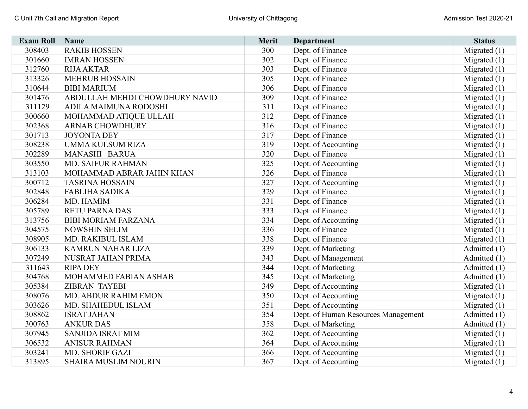| <b>Exam Roll</b> | Name                           | Merit | <b>Department</b>                   | <b>Status</b>  |
|------------------|--------------------------------|-------|-------------------------------------|----------------|
| 308403           | <b>RAKIB HOSSEN</b>            | 300   | Dept. of Finance                    | Migrated $(1)$ |
| 301660           | <b>IMRAN HOSSEN</b>            | 302   | Dept. of Finance                    | Migrated $(1)$ |
| 312760           | <b>RIJA AKTAR</b>              | 303   | Dept. of Finance                    | Migrated $(1)$ |
| 313326           | <b>MEHRUB HOSSAIN</b>          | 305   | Dept. of Finance                    | Migrated $(1)$ |
| 310644           | <b>BIBI MARIUM</b>             | 306   | Dept. of Finance                    | Migrated $(1)$ |
| 301476           | ABDULLAH MEHDI CHOWDHURY NAVID | 309   | Dept. of Finance                    | Migrated $(1)$ |
| 311129           | ADILA MAIMUNA RODOSHI          | 311   | Dept. of Finance                    | Migrated $(1)$ |
| 300660           | MOHAMMAD ATIQUE ULLAH          | 312   | Dept. of Finance                    | Migrated (1)   |
| 302368           | <b>ARNAB CHOWDHURY</b>         | 316   | Dept. of Finance                    | Migrated $(1)$ |
| 301713           | <b>JOYONTA DEY</b>             | 317   | Dept. of Finance                    | Migrated $(1)$ |
| 308238           | <b>UMMA KULSUM RIZA</b>        | 319   | Dept. of Accounting                 | Migrated $(1)$ |
| 302289           | MANASHI BARUA                  | 320   | Dept. of Finance                    | Migrated $(1)$ |
| 303550           | <b>MD. SAIFUR RAHMAN</b>       | 325   | Dept. of Accounting                 | Migrated $(1)$ |
| 313103           | MOHAMMAD ABRAR JAHIN KHAN      | 326   | Dept. of Finance                    | Migrated $(1)$ |
| 300712           | <b>TASRINA HOSSAIN</b>         | 327   | Dept. of Accounting                 | Migrated $(1)$ |
| 302848           | <b>FABLIHA SADIKA</b>          | 329   | Dept. of Finance                    | Migrated $(1)$ |
| 306284           | MD. HAMIM                      | 331   | Dept. of Finance                    | Migrated $(1)$ |
| 305789           | <b>RETU PARNA DAS</b>          | 333   | Dept. of Finance                    | Migrated $(1)$ |
| 313756           | <b>BIBI MORIAM FARZANA</b>     | 334   | Dept. of Accounting                 | Migrated $(1)$ |
| 304575           | <b>NOWSHIN SELIM</b>           | 336   | Dept. of Finance                    | Migrated (1)   |
| 308905           | MD. RAKIBUL ISLAM              | 338   | Dept. of Finance                    | Migrated $(1)$ |
| 306133           | <b>KAMRUN NAHAR LIZA</b>       | 339   | Dept. of Marketing                  | Admitted (1)   |
| 307249           | NUSRAT JAHAN PRIMA             | 343   | Dept. of Management                 | Admitted (1)   |
| 311643           | <b>RIPA DEY</b>                | 344   | Dept. of Marketing                  | Admitted (1)   |
| 304768           | MOHAMMED FABIAN ASHAB          | 345   | Dept. of Marketing                  | Admitted (1)   |
| 305384           | <b>ZIBRAN TAYEBI</b>           | 349   | Dept. of Accounting                 | Migrated $(1)$ |
| 308076           | MD. ABDUR RAHIM EMON           | 350   | Dept. of Accounting                 | Migrated $(1)$ |
| 303626           | MD. SHAHEDUL ISLAM             | 351   | Dept. of Accounting                 | Migrated $(1)$ |
| 308862           | <b>ISRAT JAHAN</b>             | 354   | Dept. of Human Resources Management | Admitted (1)   |
| 300763           | <b>ANKUR DAS</b>               | 358   | Dept. of Marketing                  | Admitted (1)   |
| 307945           | SANJIDA ISRAT MIM              | 362   | Dept. of Accounting                 | Migrated $(1)$ |
| 306532           | <b>ANISUR RAHMAN</b>           | 364   | Dept. of Accounting                 | Migrated $(1)$ |
| 303241           | MD. SHORIF GAZI                | 366   | Dept. of Accounting                 | Migrated $(1)$ |
| 313895           | <b>SHAIRA MUSLIM NOURIN</b>    | 367   | Dept. of Accounting                 | Migrated $(1)$ |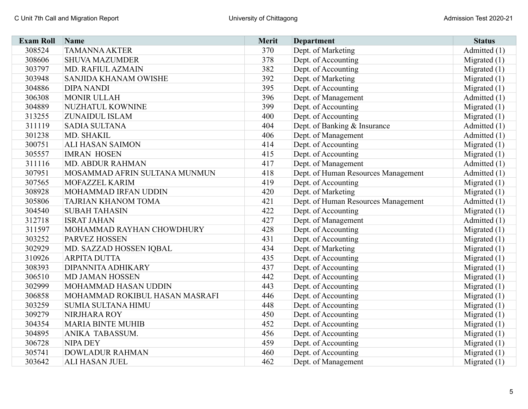| <b>Exam Roll</b> | <b>Name</b>                    | Merit | Department                          | <b>Status</b>  |
|------------------|--------------------------------|-------|-------------------------------------|----------------|
| 308524           | <b>TAMANNA AKTER</b>           | 370   | Dept. of Marketing                  | Admitted (1)   |
| 308606           | <b>SHUVA MAZUMDER</b>          | 378   | Dept. of Accounting                 | Migrated $(1)$ |
| 303797           | MD. RAFIUL AZMAIN              | 382   | Dept. of Accounting                 | Migrated $(1)$ |
| 303948           | SANJIDA KHANAM OWISHE          | 392   | Dept. of Marketing                  | Migrated $(1)$ |
| 304886           | <b>DIPA NANDI</b>              | 395   | Dept. of Accounting                 | Migrated $(1)$ |
| 306308           | <b>MONIR ULLAH</b>             | 396   | Dept. of Management                 | Admitted (1)   |
| 304889           | NUZHATUL KOWNINE               | 399   | Dept. of Accounting                 | Migrated $(1)$ |
| 313255           | <b>ZUNAIDUL ISLAM</b>          | 400   | Dept. of Accounting                 | Migrated $(1)$ |
| 311119           | <b>SADIA SULTANA</b>           | 404   | Dept. of Banking & Insurance        | Admitted (1)   |
| 301238           | MD. SHAKIL                     | 406   | Dept. of Management                 | Admitted (1)   |
| 300751           | <b>ALI HASAN SAIMON</b>        | 414   | Dept. of Accounting                 | Migrated $(1)$ |
| 305557           | <b>IMRAN HOSEN</b>             | 415   | Dept. of Accounting                 | Migrated $(1)$ |
| 311116           | <b>MD. ABDUR RAHMAN</b>        | 417   | Dept. of Management                 | Admitted (1)   |
| 307951           | MOSAMMAD AFRIN SULTANA MUNMUN  | 418   | Dept. of Human Resources Management | Admitted (1)   |
| 307565           | <b>MOFAZZEL KARIM</b>          | 419   | Dept. of Accounting                 | Migrated $(1)$ |
| 308928           | MOHAMMAD IRFAN UDDIN           | 420   | Dept. of Marketing                  | Migrated $(1)$ |
| 305806           | <b>TAJRIAN KHANOM TOMA</b>     | 421   | Dept. of Human Resources Management | Admitted (1)   |
| 304540           | <b>SUBAH TAHASIN</b>           | 422   | Dept. of Accounting                 | Migrated $(1)$ |
| 312718           | <b>ISRAT JAHAN</b>             | 427   | Dept. of Management                 | Admitted (1)   |
| 311597           | MOHAMMAD RAYHAN CHOWDHURY      | 428   | Dept. of Accounting                 | Migrated $(1)$ |
| 303252           | <b>PARVEZ HOSSEN</b>           | 431   | Dept. of Accounting                 | Migrated $(1)$ |
| 302929           | MD. SAZZAD HOSSEN IQBAL        | 434   | Dept. of Marketing                  | Migrated $(1)$ |
| 310926           | <b>ARPITA DUTTA</b>            | 435   | Dept. of Accounting                 | Migrated $(1)$ |
| 308393           | DIPANNITA ADHIKARY             | 437   | Dept. of Accounting                 | Migrated $(1)$ |
| 306510           | <b>MD JAMAN HOSSEN</b>         | 442   | Dept. of Accounting                 | Migrated $(1)$ |
| 302999           | MOHAMMAD HASAN UDDIN           | 443   | Dept. of Accounting                 | Migrated $(1)$ |
| 306858           | MOHAMMAD ROKIBUL HASAN MASRAFI | 446   | Dept. of Accounting                 | Migrated $(1)$ |
| 303259           | <b>SUMIA SULTANA HIMU</b>      | 448   | Dept. of Accounting                 | Migrated $(1)$ |
| 309279           | NIRJHARA ROY                   | 450   | Dept. of Accounting                 | Migrated $(1)$ |
| 304354           | <b>MARIA BINTE MUHIB</b>       | 452   | Dept. of Accounting                 | Migrated $(1)$ |
| 304895           | ANIKA TABASSUM.                | 456   | Dept. of Accounting                 | Migrated $(1)$ |
| 306728           | <b>NIPA DEY</b>                | 459   | Dept. of Accounting                 | Migrated $(1)$ |
| 305741           | <b>DOWLADUR RAHMAN</b>         | 460   | Dept. of Accounting                 | Migrated $(1)$ |
| 303642           | <b>ALI HASAN JUEL</b>          | 462   | Dept. of Management                 | Migrated $(1)$ |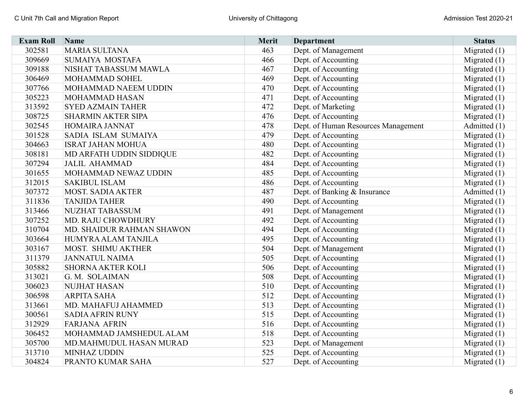| <b>Exam Roll</b> | <b>Name</b>               | Merit | <b>Department</b>                   | <b>Status</b>  |
|------------------|---------------------------|-------|-------------------------------------|----------------|
| 302581           | <b>MARIA SULTANA</b>      | 463   | Dept. of Management                 | Migrated $(1)$ |
| 309669           | <b>SUMAIYA MOSTAFA</b>    | 466   | Dept. of Accounting                 | Migrated $(1)$ |
| 309188           | NISHAT TABASSUM MAWLA     | 467   | Dept. of Accounting                 | Migrated $(1)$ |
| 306469           | MOHAMMAD SOHEL            | 469   | Dept. of Accounting                 | Migrated $(1)$ |
| 307766           | MOHAMMAD NAEEM UDDIN      | 470   | Dept. of Accounting                 | Migrated (1)   |
| 305223           | MOHAMMAD HASAN            | 471   | Dept. of Accounting                 | Migrated $(1)$ |
| 313592           | <b>SYED AZMAIN TAHER</b>  | 472   | Dept. of Marketing                  | Migrated $(1)$ |
| 308725           | <b>SHARMIN AKTER SIPA</b> | 476   | Dept. of Accounting                 | Migrated $(1)$ |
| 302545           | HOMAIRA JANNAT            | 478   | Dept. of Human Resources Management | Admitted (1)   |
| 301528           | SADIA ISLAM SUMAIYA       | 479   | Dept. of Accounting                 | Migrated $(1)$ |
| 304663           | <b>ISRAT JAHAN MOHUA</b>  | 480   | Dept. of Accounting                 | Migrated $(1)$ |
| 308181           | MD ARFATH UDDIN SIDDIQUE  | 482   | Dept. of Accounting                 | Migrated $(1)$ |
| 307294           | <b>JALIL AHAMMAD</b>      | 484   | Dept. of Accounting                 | Migrated $(1)$ |
| 301655           | MOHAMMAD NEWAZ UDDIN      | 485   | Dept. of Accounting                 | Migrated $(1)$ |
| 312015           | <b>SAKIBUL ISLAM</b>      | 486   | Dept. of Accounting                 | Migrated $(1)$ |
| 307372           | <b>MOST. SADIA AKTER</b>  | 487   | Dept. of Banking & Insurance        | Admitted (1)   |
| 311836           | <b>TANJIDA TAHER</b>      | 490   | Dept. of Accounting                 | Migrated $(1)$ |
| 313466           | NUZHAT TABASSUM           | 491   | Dept. of Management                 | Migrated $(1)$ |
| 307252           | MD. RAJU CHOWDHURY        | 492   | Dept. of Accounting                 | Migrated $(1)$ |
| 310704           | MD. SHAIDUR RAHMAN SHAWON | 494   | Dept. of Accounting                 | Migrated (1)   |
| 303664           | HUMYRA ALAM TANJILA       | 495   | Dept. of Accounting                 | Migrated $(1)$ |
| 303167           | MOST. SHIMU AKTHER        | 504   | Dept. of Management                 | Migrated $(1)$ |
| 311379           | <b>JANNATUL NAIMA</b>     | 505   | Dept. of Accounting                 | Migrated $(1)$ |
| 305882           | <b>SHORNA AKTER KOLI</b>  | 506   | Dept. of Accounting                 | Migrated $(1)$ |
| 313021           | G. M. SOLAIMAN            | 508   | Dept. of Accounting                 | Migrated $(1)$ |
| 306023           | <b>NUJHAT HASAN</b>       | 510   | Dept. of Accounting                 | Migrated $(1)$ |
| 306598           | <b>ARPITA SAHA</b>        | 512   | Dept. of Accounting                 | Migrated $(1)$ |
| 313661           | MD. MAHAFUJ AHAMMED       | 513   | Dept. of Accounting                 | Migrated $(1)$ |
| 300561           | <b>SADIA AFRIN RUNY</b>   | 515   | Dept. of Accounting                 | Migrated $(1)$ |
| 312929           | <b>FARJANA AFRIN</b>      | 516   | Dept. of Accounting                 | Migrated $(1)$ |
| 306452           | MOHAMMAD JAMSHEDUL ALAM   | 518   | Dept. of Accounting                 | Migrated $(1)$ |
| 305700           | MD.MAHMUDUL HASAN MURAD   | 523   | Dept. of Management                 | Migrated $(1)$ |
| 313710           | <b>MINHAZ UDDIN</b>       | 525   | Dept. of Accounting                 | Migrated $(1)$ |
| 304824           | PRANTO KUMAR SAHA         | 527   | Dept. of Accounting                 | Migrated $(1)$ |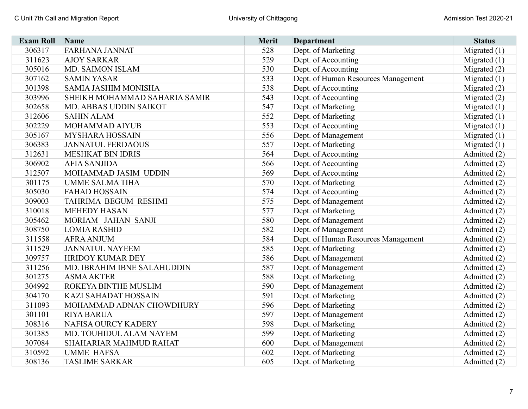| <b>Exam Roll</b> | <b>Name</b>                   | Merit | <b>Department</b>                   | <b>Status</b>  |
|------------------|-------------------------------|-------|-------------------------------------|----------------|
| 306317           | <b>FARHANA JANNAT</b>         | 528   | Dept. of Marketing                  | Migrated $(1)$ |
| 311623           | <b>AJOY SARKAR</b>            | 529   | Dept. of Accounting                 | Migrated $(1)$ |
| 305016           | MD. SAIMON ISLAM              | 530   | Dept. of Accounting                 | Migrated (2)   |
| 307162           | <b>SAMIN YASAR</b>            | 533   | Dept. of Human Resources Management | Migrated (1)   |
| 301398           | SAMIA JASHIM MONISHA          | 538   | Dept. of Accounting                 | Migrated (2)   |
| 303996           | SHEIKH MOHAMMAD SAHARIA SAMIR | 543   | Dept. of Accounting                 | Migrated (2)   |
| 302658           | MD. ABBAS UDDIN SAIKOT        | 547   | Dept. of Marketing                  | Migrated $(1)$ |
| 312606           | <b>SAHIN ALAM</b>             | 552   | Dept. of Marketing                  | Migrated $(1)$ |
| 302229           | MOHAMMAD AIYUB                | 553   | Dept. of Accounting                 | Migrated $(1)$ |
| 305167           | <b>MYSHARA HOSSAIN</b>        | 556   | Dept. of Management                 | Migrated $(1)$ |
| 306383           | <b>JANNATUL FERDAOUS</b>      | 557   | Dept. of Marketing                  | Migrated $(1)$ |
| 312631           | <b>MESHKAT BIN IDRIS</b>      | 564   | Dept. of Accounting                 | Admitted (2)   |
| 306902           | <b>AFIA SANJIDA</b>           | 566   | Dept. of Accounting                 | Admitted (2)   |
| 312507           | MOHAMMAD JASIM UDDIN          | 569   | Dept. of Accounting                 | Admitted (2)   |
| 301175           | <b>UMME SALMA TIHA</b>        | 570   | Dept. of Marketing                  | Admitted (2)   |
| 305030           | <b>FAHAD HOSSAIN</b>          | 574   | Dept. of Accounting                 | Admitted (2)   |
| 309003           | TAHRIMA BEGUM RESHMI          | 575   | Dept. of Management                 | Admitted (2)   |
| 310018           | <b>MEHEDY HASAN</b>           | 577   | Dept. of Marketing                  | Admitted (2)   |
| 305462           | MORIAM JAHAN SANJI            | 580   | Dept. of Management                 | Admitted (2)   |
| 308750           | <b>LOMIA RASHID</b>           | 582   | Dept. of Management                 | Admitted (2)   |
| 311558           | <b>AFRA ANJUM</b>             | 584   | Dept. of Human Resources Management | Admitted (2)   |
| 311529           | <b>JANNATUL NAYEEM</b>        | 585   | Dept. of Marketing                  | Admitted (2)   |
| 309757           | <b>HRIDOY KUMAR DEY</b>       | 586   | Dept. of Management                 | Admitted (2)   |
| 311256           | MD. IBRAHIM IBNE SALAHUDDIN   | 587   | Dept. of Management                 | Admitted (2)   |
| 301275           | <b>ASMA AKTER</b>             | 588   | Dept. of Marketing                  | Admitted (2)   |
| 304992           | ROKEYA BINTHE MUSLIM          | 590   | Dept. of Management                 | Admitted (2)   |
| 304170           | <b>KAZI SAHADAT HOSSAIN</b>   | 591   | Dept. of Marketing                  | Admitted (2)   |
| 311093           | MOHAMMAD ADNAN CHOWDHURY      | 596   | Dept. of Marketing                  | Admitted (2)   |
| 301101           | <b>RIYA BARUA</b>             | 597   | Dept. of Management                 | Admitted (2)   |
| 308316           | <b>NAFISA OURCY KADERY</b>    | 598   | Dept. of Marketing                  | Admitted (2)   |
| 301385           | MD. TOUHIDUL ALAM NAYEM       | 599   | Dept. of Marketing                  | Admitted (2)   |
| 307084           | SHAHARIAR MAHMUD RAHAT        | 600   | Dept. of Management                 | Admitted (2)   |
| 310592           | <b>UMME HAFSA</b>             | 602   | Dept. of Marketing                  | Admitted (2)   |
| 308136           | <b>TASLIME SARKAR</b>         | 605   | Dept. of Marketing                  | Admitted (2)   |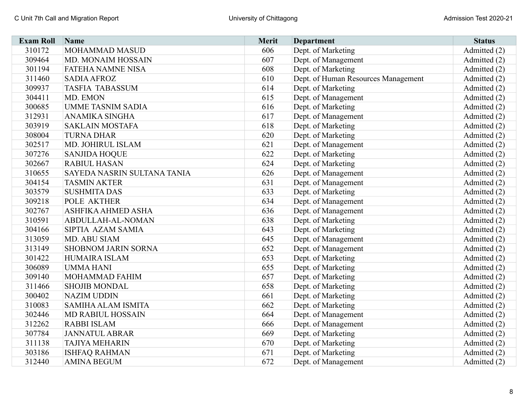| <b>Exam Roll</b> | Name                        | Merit | <b>Department</b>                   | <b>Status</b> |
|------------------|-----------------------------|-------|-------------------------------------|---------------|
| 310172           | MOHAMMAD MASUD              | 606   | Dept. of Marketing                  | Admitted (2)  |
| 309464           | MD. MONAIM HOSSAIN          | 607   | Dept. of Management                 | Admitted (2)  |
| 301194           | <b>FATEHA NAMNE NISA</b>    | 608   | Dept. of Marketing                  | Admitted (2)  |
| 311460           | <b>SADIA AFROZ</b>          | 610   | Dept. of Human Resources Management | Admitted (2)  |
| 309937           | <b>TASFIA TABASSUM</b>      | 614   | Dept. of Marketing                  | Admitted (2)  |
| 304411           | MD. EMON                    | 615   | Dept. of Management                 | Admitted (2)  |
| 300685           | <b>UMME TASNIM SADIA</b>    | 616   | Dept. of Marketing                  | Admitted (2)  |
| 312931           | ANAMIKA SINGHA              | 617   | Dept. of Management                 | Admitted (2)  |
| 303919           | <b>SAKLAIN MOSTAFA</b>      | 618   | Dept. of Marketing                  | Admitted (2)  |
| 308004           | <b>TURNA DHAR</b>           | 620   | Dept. of Marketing                  | Admitted (2)  |
| 302517           | MD. JOHIRUL ISLAM           | 621   | Dept. of Management                 | Admitted (2)  |
| 307276           | <b>SANJIDA HOQUE</b>        | 622   | Dept. of Marketing                  | Admitted (2)  |
| 302667           | <b>RABIUL HASAN</b>         | 624   | Dept. of Marketing                  | Admitted (2)  |
| 310655           | SAYEDA NASRIN SULTANA TANIA | 626   | Dept. of Management                 | Admitted (2)  |
| 304154           | <b>TASMIN AKTER</b>         | 631   | Dept. of Management                 | Admitted (2)  |
| 303579           | <b>SUSHMITA DAS</b>         | 633   | Dept. of Marketing                  | Admitted (2)  |
| 309218           | POLE AKTHER                 | 634   | Dept. of Management                 | Admitted (2)  |
| 302767           | ASHFIKA AHMED ASHA          | 636   | Dept. of Management                 | Admitted (2)  |
| 310591           | ABDULLAH-AL-NOMAN           | 638   | Dept. of Marketing                  | Admitted (2)  |
| 304166           | SIPTIA AZAM SAMIA           | 643   | Dept. of Marketing                  | Admitted (2)  |
| 313059           | MD. ABU SIAM                | 645   | Dept. of Management                 | Admitted (2)  |
| 313149           | <b>SHOBNOM JARIN SORNA</b>  | 652   | Dept. of Management                 | Admitted (2)  |
| 301422           | HUMAIRA ISLAM               | 653   | Dept. of Marketing                  | Admitted (2)  |
| 306089           | <b>UMMA HANI</b>            | 655   | Dept. of Marketing                  | Admitted (2)  |
| 309140           | MOHAMMAD FAHIM              | 657   | Dept. of Marketing                  | Admitted (2)  |
| 311466           | <b>SHOJIB MONDAL</b>        | 658   | Dept. of Marketing                  | Admitted (2)  |
| 300402           | <b>NAZIM UDDIN</b>          | 661   | Dept. of Marketing                  | Admitted (2)  |
| 310083           | <b>SAMIHA ALAM ISMITA</b>   | 662   | Dept. of Marketing                  | Admitted (2)  |
| 302446           | <b>MD RABIUL HOSSAIN</b>    | 664   | Dept. of Management                 | Admitted (2)  |
| 312262           | <b>RABBI ISLAM</b>          | 666   | Dept. of Management                 | Admitted (2)  |
| 307784           | <b>JANNATUL ABRAR</b>       | 669   | Dept. of Marketing                  | Admitted (2)  |
| 311138           | <b>TAJIYA MEHARIN</b>       | 670   | Dept. of Marketing                  | Admitted (2)  |
| 303186           | <b>ISHFAQ RAHMAN</b>        | 671   | Dept. of Marketing                  | Admitted (2)  |
| 312440           | <b>AMINA BEGUM</b>          | 672   | Dept. of Management                 | Admitted (2)  |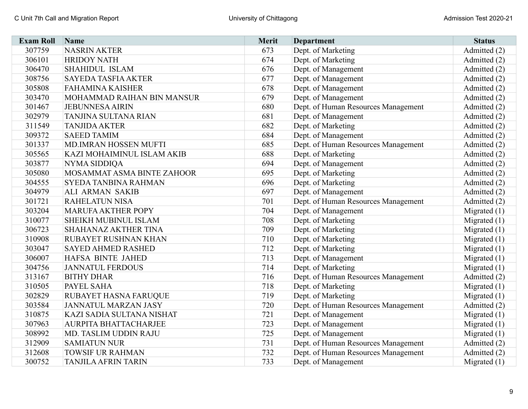| <b>Exam Roll</b> | <b>Name</b>                 | Merit | <b>Department</b>                   | <b>Status</b>  |
|------------------|-----------------------------|-------|-------------------------------------|----------------|
| 307759           | <b>NASRIN AKTER</b>         | 673   | Dept. of Marketing                  | Admitted (2)   |
| 306101           | <b>HRIDOY NATH</b>          | 674   | Dept. of Marketing                  | Admitted (2)   |
| 306470           | <b>SHAHIDUL ISLAM</b>       | 676   | Dept. of Management                 | Admitted (2)   |
| 308756           | <b>SAYEDA TASFIA AKTER</b>  | 677   | Dept. of Management                 | Admitted (2)   |
| 305808           | <b>FAHAMINA KAISHER</b>     | 678   | Dept. of Management                 | Admitted (2)   |
| 303470           | MOHAMMAD RAIHAN BIN MANSUR  | 679   | Dept. of Management                 | Admitted (2)   |
| 301467           | <b>JEBUNNESA AIRIN</b>      | 680   | Dept. of Human Resources Management | Admitted (2)   |
| 302979           | TANJINA SULTANA RIAN        | 681   | Dept. of Management                 | Admitted (2)   |
| 311549           | <b>TANJIDA AKTER</b>        | 682   | Dept. of Marketing                  | Admitted (2)   |
| 309372           | <b>SAEED TAMIM</b>          | 684   | Dept. of Management                 | Admitted (2)   |
| 301337           | MD.IMRAN HOSSEN MUFTI       | 685   | Dept. of Human Resources Management | Admitted (2)   |
| 305565           | KAZI MOHAIMINUL ISLAM AKIB  | 688   | Dept. of Marketing                  | Admitted (2)   |
| 303877           | <b>NYMA SIDDIQA</b>         | 694   | Dept. of Management                 | Admitted (2)   |
| 305080           | MOSAMMAT ASMA BINTE ZAHOOR  | 695   | Dept. of Marketing                  | Admitted (2)   |
| 304555           | <b>SYEDA TANBINA RAHMAN</b> | 696   | Dept. of Marketing                  | Admitted (2)   |
| 304979           | ALI ARMAN SAKIB             | 697   | Dept. of Management                 | Admitted (2)   |
| 301721           | <b>RAHELATUN NISA</b>       | 701   | Dept. of Human Resources Management | Admitted (2)   |
| 303204           | <b>MARUFA AKTHER POPY</b>   | 704   | Dept. of Management                 | Migrated (1)   |
| 310077           | SHEIKH MUBINUL ISLAM        | 708   | Dept. of Marketing                  | Migrated $(1)$ |
| 306723           | SHAHANAZ AKTHER TINA        | 709   | Dept. of Marketing                  | Migrated $(1)$ |
| 310908           | RUBAYET RUSHNAN KHAN        | 710   | Dept. of Marketing                  | Migrated $(1)$ |
| 303047           | <b>SAYED AHMED RASHED</b>   | 712   | Dept. of Marketing                  | Migrated $(1)$ |
| 306007           | HAFSA BINTE JAHED           | 713   | Dept. of Management                 | Migrated $(1)$ |
| 304756           | <b>JANNATUL FERDOUS</b>     | 714   | Dept. of Marketing                  | Migrated $(1)$ |
| 313167           | <b>BITHY DHAR</b>           | 716   | Dept. of Human Resources Management | Admitted (2)   |
| 310505           | PAYEL SAHA                  | 718   | Dept. of Marketing                  | Migrated $(1)$ |
| 302829           | RUBAYET HASNA FARUQUE       | 719   | Dept. of Marketing                  | Migrated $(1)$ |
| 303584           | <b>JANNATUL MARZAN JASY</b> | 720   | Dept. of Human Resources Management | Admitted (2)   |
| 310875           | KAZI SADIA SULTANA NISHAT   | 721   | Dept. of Management                 | Migrated $(1)$ |
| 307963           | AURPITA BHATTACHARJEE       | 723   | Dept. of Management                 | Migrated $(1)$ |
| 308992           | MD. TASLIM UDDIN RAJU       | 725   | Dept. of Management                 | Migrated $(1)$ |
| 312909           | <b>SAMIATUN NUR</b>         | 731   | Dept. of Human Resources Management | Admitted (2)   |
| 312608           | <b>TOWSIF UR RAHMAN</b>     | 732   | Dept. of Human Resources Management | Admitted (2)   |
| 300752           | <b>TANJILA AFRIN TARIN</b>  | 733   | Dept. of Management                 | Migrated $(1)$ |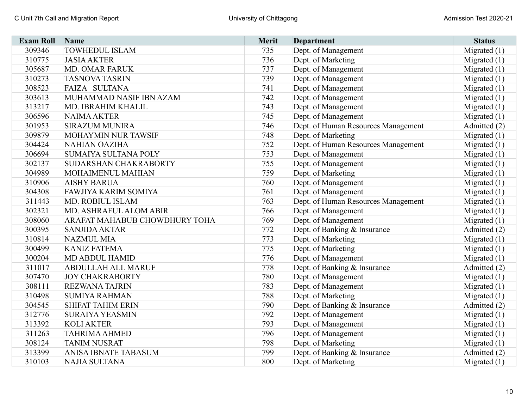| <b>Exam Roll</b> | <b>Name</b>                   | Merit | Department                          | <b>Status</b>  |
|------------------|-------------------------------|-------|-------------------------------------|----------------|
| 309346           | <b>TOWHEDUL ISLAM</b>         | 735   | Dept. of Management                 | Migrated $(1)$ |
| 310775           | <b>JASIA AKTER</b>            | 736   | Dept. of Marketing                  | Migrated $(1)$ |
| 305687           | <b>MD. OMAR FARUK</b>         | 737   | Dept. of Management                 | Migrated $(1)$ |
| 310273           | <b>TASNOVA TASRIN</b>         | 739   | Dept. of Management                 | Migrated $(1)$ |
| 308523           | FAIZA SULTANA                 | 741   | Dept. of Management                 | Migrated $(1)$ |
| 303613           | MUHAMMAD NASIF IBN AZAM       | 742   | Dept. of Management                 | Migrated $(1)$ |
| 313217           | MD. IBRAHIM KHALIL            | 743   | Dept. of Management                 | Migrated $(1)$ |
| 306596           | <b>NAIMA AKTER</b>            | 745   | Dept. of Management                 | Migrated $(1)$ |
| 301953           | <b>SIRAZUM MUNIRA</b>         | 746   | Dept. of Human Resources Management | Admitted (2)   |
| 309879           | MOHAYMIN NUR TAWSIF           | 748   | Dept. of Marketing                  | Migrated $(1)$ |
| 304424           | <b>NAHIAN OAZIHA</b>          | 752   | Dept. of Human Resources Management | Migrated $(1)$ |
| 306694           | SUMAIYA SULTANA POLY          | 753   | Dept. of Management                 | Migrated $(1)$ |
| 302137           | SUDARSHAN CHAKRABORTY         | 755   | Dept. of Management                 | Migrated $(1)$ |
| 304989           | MOHAIMENUL MAHIAN             | 759   | Dept. of Marketing                  | Migrated $(1)$ |
| 310906           | <b>AISHY BARUA</b>            | 760   | Dept. of Management                 | Migrated $(1)$ |
| 304308           | FAWJIYA KARIM SOMIYA          | 761   | Dept. of Management                 | Migrated $(1)$ |
| 311443           | MD. ROBIUL ISLAM              | 763   | Dept. of Human Resources Management | Migrated $(1)$ |
| 302321           | MD. ASHRAFUL ALOM ABIR        | 766   | Dept. of Management                 | Migrated $(1)$ |
| 308060           | ARAFAT MAHABUB CHOWDHURY TOHA | 769   | Dept. of Management                 | Migrated $(1)$ |
| 300395           | <b>SANJIDA AKTAR</b>          | 772   | Dept. of Banking & Insurance        | Admitted (2)   |
| 310814           | <b>NAZMUL MIA</b>             | 773   | Dept. of Marketing                  | Migrated $(1)$ |
| 300499           | <b>KANIZ FATEMA</b>           | 775   | Dept. of Marketing                  | Migrated $(1)$ |
| 300204           | <b>MD ABDUL HAMID</b>         | 776   | Dept. of Management                 | Migrated (1)   |
| 311017           | <b>ABDULLAH ALL MARUF</b>     | 778   | Dept. of Banking & Insurance        | Admitted (2)   |
| 307470           | <b>JOY CHAKRABORTY</b>        | 780   | Dept. of Management                 | Migrated $(1)$ |
| 308111           | <b>REZWANA TAJRIN</b>         | 783   | Dept. of Management                 | Migrated $(1)$ |
| 310498           | <b>SUMIYA RAHMAN</b>          | 788   | Dept. of Marketing                  | Migrated (1)   |
| 304545           | <b>SHIFAT TAHIM ERIN</b>      | 790   | Dept. of Banking & Insurance        | Admitted (2)   |
| 312776           | <b>SURAIYA YEASMIN</b>        | 792   | Dept. of Management                 | Migrated $(1)$ |
| 313392           | <b>KOLI AKTER</b>             | 793   | Dept. of Management                 | Migrated $(1)$ |
| 311263           | <b>TAHRIMA AHMED</b>          | 796   | Dept. of Management                 | Migrated $(1)$ |
| 308124           | <b>TANIM NUSRAT</b>           | 798   | Dept. of Marketing                  | Migrated $(1)$ |
| 313399           | ANISA IBNATE TABASUM          | 799   | Dept. of Banking & Insurance        | Admitted (2)   |
| 310103           | <b>NAJIA SULTANA</b>          | 800   | Dept. of Marketing                  | Migrated $(1)$ |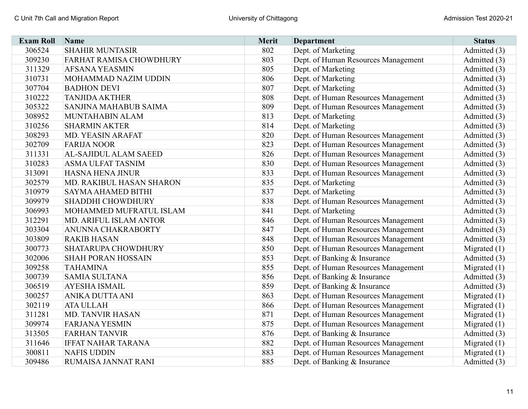| <b>Exam Roll</b> | <b>Name</b>                  | <b>Merit</b> | <b>Department</b>                   | <b>Status</b>  |
|------------------|------------------------------|--------------|-------------------------------------|----------------|
| 306524           | <b>SHAHIR MUNTASIR</b>       | 802          | Dept. of Marketing                  | Admitted (3)   |
| 309230           | FARHAT RAMISA CHOWDHURY      | 803          | Dept. of Human Resources Management | Admitted (3)   |
| 311329           | <b>AFSANA YEASMIN</b>        | 805          | Dept. of Marketing                  | Admitted (3)   |
| 310731           | MOHAMMAD NAZIM UDDIN         | 806          | Dept. of Marketing                  | Admitted (3)   |
| 307704           | <b>BADHON DEVI</b>           | 807          | Dept. of Marketing                  | Admitted (3)   |
| 310222           | <b>TANJIDA AKTHER</b>        | 808          | Dept. of Human Resources Management | Admitted (3)   |
| 305322           | SANJINA MAHABUB SAIMA        | 809          | Dept. of Human Resources Management | Admitted (3)   |
| 308952           | MUNTAHABIN ALAM              | 813          | Dept. of Marketing                  | Admitted (3)   |
| 310256           | <b>SHARMIN AKTER</b>         | 814          | Dept. of Marketing                  | Admitted (3)   |
| 308293           | MD. YEASIN ARAFAT            | 820          | Dept. of Human Resources Management | Admitted (3)   |
| 302709           | <b>FARIJA NOOR</b>           | 823          | Dept. of Human Resources Management | Admitted (3)   |
| 311331           | <b>AL-SAJIDUL ALAM SAEED</b> | 826          | Dept. of Human Resources Management | Admitted (3)   |
| 310283           | <b>ASMA ULFAT TASNIM</b>     | 830          | Dept. of Human Resources Management | Admitted (3)   |
| 313091           | <b>HASNA HENA JINUR</b>      | 833          | Dept. of Human Resources Management | Admitted (3)   |
| 302579           | MD. RAKIBUL HASAN SHARON     | 835          | Dept. of Marketing                  | Admitted (3)   |
| 310979           | <b>SAYMA AHAMED BITHI</b>    | 837          | Dept. of Marketing                  | Admitted (3)   |
| 309979           | SHADDHI CHOWDHURY            | 838          | Dept. of Human Resources Management | Admitted (3)   |
| 306993           | MOHAMMED MUFRATUL ISLAM      | 841          | Dept. of Marketing                  | Admitted (3)   |
| 312291           | MD. ARIFUL ISLAM ANTOR       | 846          | Dept. of Human Resources Management | Admitted (3)   |
| 303304           | ANUNNA CHAKRABORTY           | 847          | Dept. of Human Resources Management | Admitted (3)   |
| 303809           | <b>RAKIB HASAN</b>           | 848          | Dept. of Human Resources Management | Admitted (3)   |
| 300773           | SHATARUPA CHOWDHURY          | 850          | Dept. of Human Resources Management | Migrated $(1)$ |
| 302006           | <b>SHAH PORAN HOSSAIN</b>    | 853          | Dept. of Banking & Insurance        | Admitted (3)   |
| 309258           | <b>TAHAMINA</b>              | 855          | Dept. of Human Resources Management | Migrated $(1)$ |
| 300739           | <b>SAMIA SULTANA</b>         | 856          | Dept. of Banking & Insurance        | Admitted (3)   |
| 306519           | <b>AYESHA ISMAIL</b>         | 859          | Dept. of Banking & Insurance        | Admitted (3)   |
| 300257           | <b>ANIKA DUTTA ANI</b>       | 863          | Dept. of Human Resources Management | Migrated $(1)$ |
| 302119           | <b>ATA ULLAH</b>             | 866          | Dept. of Human Resources Management | Migrated $(1)$ |
| 311281           | <b>MD. TANVIR HASAN</b>      | 871          | Dept. of Human Resources Management | Migrated $(1)$ |
| 309974           | <b>FARJANA YESMIN</b>        | 875          | Dept. of Human Resources Management | Migrated $(1)$ |
| 313505           | <b>FARHAN TANVIR</b>         | 876          | Dept. of Banking & Insurance        | Admitted (3)   |
| 311646           | <b>IFFAT NAHAR TARANA</b>    | 882          | Dept. of Human Resources Management | Migrated $(1)$ |
| 300811           | <b>NAFIS UDDIN</b>           | 883          | Dept. of Human Resources Management | Migrated $(1)$ |
| 309486           | RUMAISA JANNAT RANI          | 885          | Dept. of Banking & Insurance        | Admitted (3)   |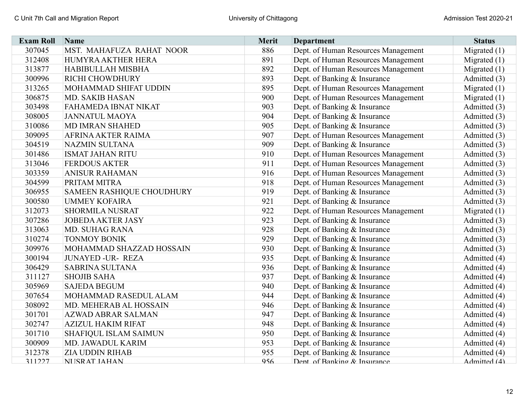| <b>Exam Roll</b> | Name                      | <b>Merit</b> | <b>Department</b>                   | <b>Status</b>  |
|------------------|---------------------------|--------------|-------------------------------------|----------------|
| 307045           | MST. MAHAFUZA RAHAT NOOR  | 886          | Dept. of Human Resources Management | Migrated $(1)$ |
| 312408           | HUMYRA AKTHER HERA        | 891          | Dept. of Human Resources Management | Migrated $(1)$ |
| 313877           | <b>HABIBULLAH MISBHA</b>  | 892          | Dept. of Human Resources Management | Migrated $(1)$ |
| 300996           | RICHI CHOWDHURY           | 893          | Dept. of Banking & Insurance        | Admitted (3)   |
| 313265           | MOHAMMAD SHIFAT UDDIN     | 895          | Dept. of Human Resources Management | Migrated $(1)$ |
| 306875           | MD. SAKIB HASAN           | 900          | Dept. of Human Resources Management | Migrated $(1)$ |
| 303498           | FAHAMEDA IBNAT NIKAT      | 903          | Dept. of Banking & Insurance        | Admitted (3)   |
| 308005           | <b>JANNATUL MAOYA</b>     | 904          | Dept. of Banking & Insurance        | Admitted (3)   |
| 310086           | <b>MD IMRAN SHAHED</b>    | 905          | Dept. of Banking & Insurance        | Admitted (3)   |
| 309095           | AFRINA AKTER RAIMA        | 907          | Dept. of Human Resources Management | Admitted (3)   |
| 304519           | <b>NAZMIN SULTANA</b>     | 909          | Dept. of Banking & Insurance        | Admitted (3)   |
| 301486           | <b>ISMAT JAHAN RITU</b>   | 910          | Dept. of Human Resources Management | Admitted (3)   |
| 313046           | <b>FERDOUS AKTER</b>      | 911          | Dept. of Human Resources Management | Admitted (3)   |
| 303359           | <b>ANISUR RAHAMAN</b>     | 916          | Dept. of Human Resources Management | Admitted (3)   |
| 304599           | PRITAM MITRA              | 918          | Dept. of Human Resources Management | Admitted (3)   |
| 306955           | SAMEEN RASHIQUE CHOUDHURY | 919          | Dept. of Banking & Insurance        | Admitted (3)   |
| 300580           | <b>UMMEY KOFAIRA</b>      | 921          | Dept. of Banking & Insurance        | Admitted (3)   |
| 312073           | <b>SHORMILA NUSRAT</b>    | 922          | Dept. of Human Resources Management | Migrated $(1)$ |
| 307286           | <b>JOBEDA AKTER JASY</b>  | 923          | Dept. of Banking & Insurance        | Admitted (3)   |
| 313063           | <b>MD. SUHAG RANA</b>     | 928          | Dept. of Banking & Insurance        | Admitted (3)   |
| 310274           | <b>TONMOY BONIK</b>       | 929          | Dept. of Banking & Insurance        | Admitted (3)   |
| 309976           | MOHAMMAD SHAZZAD HOSSAIN  | 930          | Dept. of Banking & Insurance        | Admitted (3)   |
| 300194           | <b>JUNAYED -UR- REZA</b>  | 935          | Dept. of Banking & Insurance        | Admitted (4)   |
| 306429           | <b>SABRINA SULTANA</b>    | 936          | Dept. of Banking & Insurance        | Admitted (4)   |
| 311127           | <b>SHOJIB SAHA</b>        | 937          | Dept. of Banking & Insurance        | Admitted (4)   |
| 305969           | <b>SAJEDA BEGUM</b>       | 940          | Dept. of Banking & Insurance        | Admitted (4)   |
| 307654           | MOHAMMAD RASEDUL ALAM     | 944          | Dept. of Banking & Insurance        | Admitted (4)   |
| 308092           | MD. MEHERAB AL HOSSAIN    | 946          | Dept. of Banking & Insurance        | Admitted (4)   |
| 301701           | <b>AZWAD ABRAR SALMAN</b> | 947          | Dept. of Banking & Insurance        | Admitted (4)   |
| 302747           | <b>AZIZUL HAKIM RIFAT</b> | 948          | Dept. of Banking & Insurance        | Admitted (4)   |
| 301710           | SHAFIQUL ISLAM SAIMUN     | 950          | Dept. of Banking & Insurance        | Admitted (4)   |
| 300909           | MD. JAWADUL KARIM         | 953          | Dept. of Banking & Insurance        | Admitted (4)   |
| 312378           | <b>ZIA UDDIN RIHAB</b>    | 955          | Dept. of Banking & Insurance        | Admitted (4)   |
| 311227           | NI ISR AT IAHAN           | 956          | Dent of Ranking & Insurance         | Admitted (4)   |